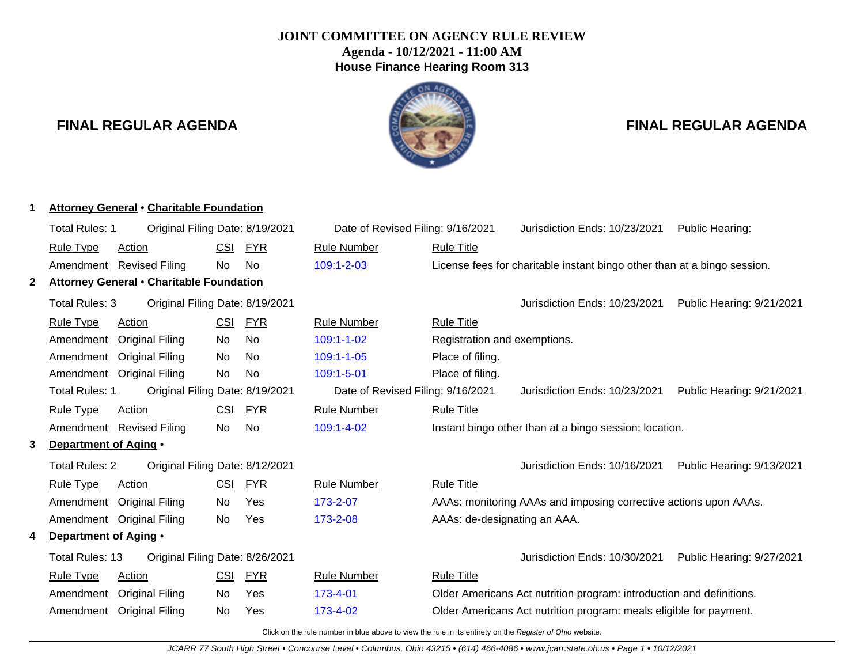## **JOINT COMMITTEE ON AGENCY RULE REVIEW Agenda - 10/12/2021 - 11:00 AM House Finance Hearing Room 313**

## **FINAL REGULAR AGENDA FINAL REGULAR AGENDA**

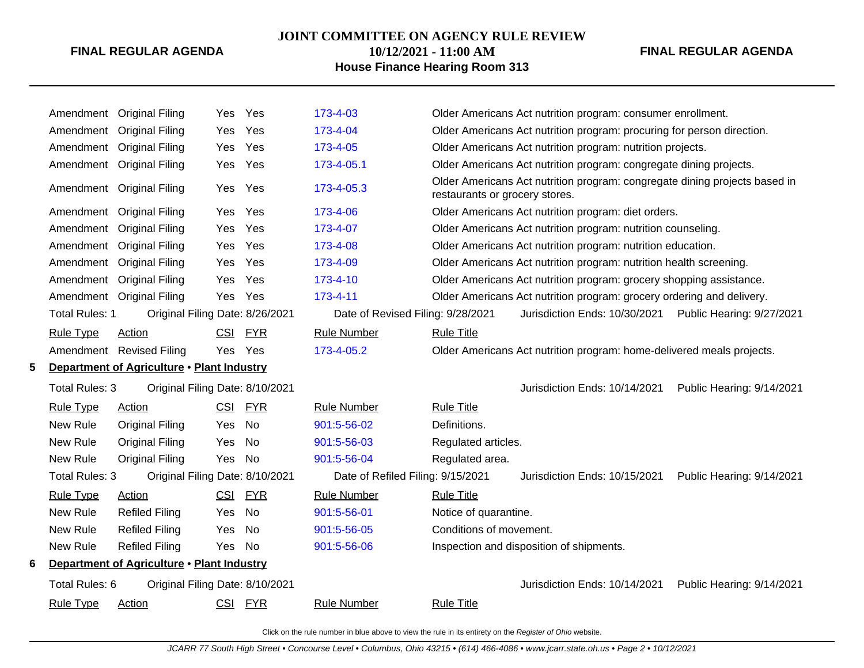#### **JOINT COMMITTEE ON AGENCY RULE REVIEW**

# **10/12/2021 - 11:00 AM**

## **FINAL REGULAR AGENDA**

## **House Finance Hearing Room 313**

|   |                                            | Amendment Original Filing                  | Yes.       | Yes        | 173-4-03                          |                                                            | Older Americans Act nutrition program: consumer enrollment.                |                           |
|---|--------------------------------------------|--------------------------------------------|------------|------------|-----------------------------------|------------------------------------------------------------|----------------------------------------------------------------------------|---------------------------|
|   | Amendment                                  | <b>Original Filing</b>                     | Yes        | Yes        | 173-4-04                          |                                                            | Older Americans Act nutrition program: procuring for person direction.     |                           |
|   |                                            | Amendment Original Filing                  | Yes        | Yes        | 173-4-05                          | Older Americans Act nutrition program: nutrition projects. |                                                                            |                           |
|   |                                            | Amendment Original Filing                  | Yes        | Yes        | 173-4-05.1                        |                                                            | Older Americans Act nutrition program: congregate dining projects.         |                           |
|   |                                            | Amendment Original Filing                  | Yes        | Yes        | 173-4-05.3                        | restaurants or grocery stores.                             | Older Americans Act nutrition program: congregate dining projects based in |                           |
|   | Amendment                                  | <b>Original Filing</b>                     | Yes        | Yes        | 173-4-06                          |                                                            | Older Americans Act nutrition program: diet orders.                        |                           |
|   | Amendment                                  | <b>Original Filing</b>                     | <b>Yes</b> | Yes        | 173-4-07                          |                                                            | Older Americans Act nutrition program: nutrition counseling.               |                           |
|   | Amendment                                  | <b>Original Filing</b>                     | Yes        | Yes        | 173-4-08                          |                                                            | Older Americans Act nutrition program: nutrition education.                |                           |
|   | Amendment                                  | <b>Original Filing</b>                     | Yes        | Yes        | 173-4-09                          |                                                            | Older Americans Act nutrition program: nutrition health screening.         |                           |
|   | Amendment                                  | <b>Original Filing</b>                     | Yes        | Yes        | 173-4-10                          |                                                            | Older Americans Act nutrition program: grocery shopping assistance.        |                           |
|   | Amendment                                  | <b>Original Filing</b>                     | Yes        | Yes        | 173-4-11                          |                                                            | Older Americans Act nutrition program: grocery ordering and delivery.      |                           |
|   | <b>Total Rules: 1</b>                      | Original Filing Date: 8/26/2021            |            |            | Date of Revised Filing: 9/28/2021 |                                                            | Jurisdiction Ends: 10/30/2021                                              | Public Hearing: 9/27/2021 |
|   | <b>Rule Type</b>                           | <b>Action</b>                              | <b>CSI</b> | <b>FYR</b> | <b>Rule Number</b>                | <b>Rule Title</b>                                          |                                                                            |                           |
|   |                                            | Amendment Revised Filing                   | Yes        | Yes        | 173-4-05.2                        |                                                            | Older Americans Act nutrition program: home-delivered meals projects.      |                           |
|   | Department of Agriculture . Plant Industry |                                            |            |            |                                   |                                                            |                                                                            |                           |
| 5 |                                            |                                            |            |            |                                   |                                                            |                                                                            |                           |
|   | Total Rules: 3                             | Original Filing Date: 8/10/2021            |            |            |                                   |                                                            | Jurisdiction Ends: 10/14/2021                                              | Public Hearing: 9/14/2021 |
|   | <b>Rule Type</b>                           | <b>Action</b>                              | CSI        | <b>FYR</b> | <b>Rule Number</b>                | <b>Rule Title</b>                                          |                                                                            |                           |
|   | New Rule                                   | <b>Original Filing</b>                     | Yes        | <b>No</b>  | 901:5-56-02                       | Definitions.                                               |                                                                            |                           |
|   | New Rule                                   | <b>Original Filing</b>                     | Yes        | No         | 901:5-56-03                       | Regulated articles.                                        |                                                                            |                           |
|   | New Rule                                   | <b>Original Filing</b>                     | Yes        | No         | 901:5-56-04                       | Regulated area.                                            |                                                                            |                           |
|   | <b>Total Rules: 3</b>                      | Original Filing Date: 8/10/2021            |            |            | Date of Refiled Filing: 9/15/2021 |                                                            | Jurisdiction Ends: 10/15/2021                                              | Public Hearing: 9/14/2021 |
|   | <b>Rule Type</b>                           | Action                                     | <b>CSI</b> | <b>FYR</b> | <b>Rule Number</b>                | <b>Rule Title</b>                                          |                                                                            |                           |
|   | New Rule                                   | <b>Refiled Filing</b>                      | Yes        | <b>No</b>  | 901:5-56-01                       | Notice of quarantine.                                      |                                                                            |                           |
|   | New Rule                                   | <b>Refiled Filing</b>                      | Yes        | No         | 901:5-56-05                       | Conditions of movement.                                    |                                                                            |                           |
|   | New Rule                                   | <b>Refiled Filing</b>                      | Yes        | No         | 901:5-56-06                       |                                                            | Inspection and disposition of shipments.                                   |                           |
| 6 |                                            | Department of Agriculture . Plant Industry |            |            |                                   |                                                            |                                                                            |                           |
|   | Total Rules: 6                             | Original Filing Date: 8/10/2021            |            |            |                                   |                                                            | Jurisdiction Ends: 10/14/2021                                              | Public Hearing: 9/14/2021 |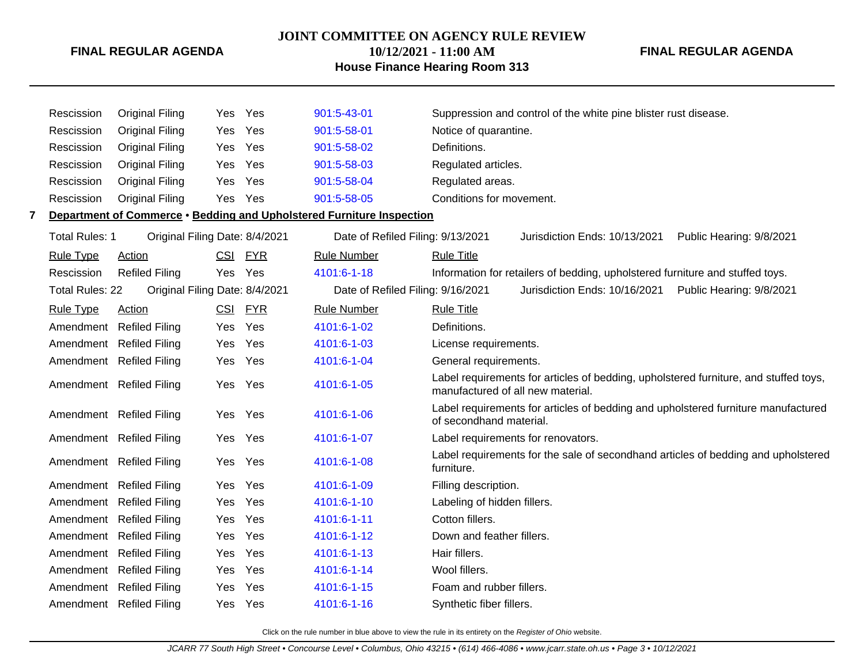## **JOINT COMMITTEE ON AGENCY RULE REVIEW**

**10/12/2021 - 11:00 AM House Finance Hearing Room 313** **FINAL REGULAR AGENDA**

|   | Rescission             | <b>Original Filing</b>         | Yes Yes    |            | 901:5-43-01                                                           | Suppression and control of the white pine blister rust disease.                                                           |                          |
|---|------------------------|--------------------------------|------------|------------|-----------------------------------------------------------------------|---------------------------------------------------------------------------------------------------------------------------|--------------------------|
|   | Rescission             | <b>Original Filing</b>         | Yes        | Yes        | 901:5-58-01                                                           | Notice of quarantine.                                                                                                     |                          |
|   | Rescission             | <b>Original Filing</b>         | Yes        | Yes        | 901:5-58-02                                                           | Definitions.                                                                                                              |                          |
|   | Rescission             | <b>Original Filing</b>         | Yes        | Yes        | 901:5-58-03                                                           | Regulated articles.                                                                                                       |                          |
|   | Rescission             | <b>Original Filing</b>         | Yes        | Yes        | 901:5-58-04                                                           | Regulated areas.                                                                                                          |                          |
|   | Rescission             | <b>Original Filing</b>         | Yes        | Yes        | 901:5-58-05                                                           | Conditions for movement.                                                                                                  |                          |
| 7 |                        |                                |            |            | Department of Commerce • Bedding and Upholstered Furniture Inspection |                                                                                                                           |                          |
|   | <b>Total Rules: 1</b>  | Original Filing Date: 8/4/2021 |            |            | Date of Refiled Filing: 9/13/2021                                     | Jurisdiction Ends: 10/13/2021                                                                                             | Public Hearing: 9/8/2021 |
|   | <b>Rule Type</b>       | Action                         | <b>CSI</b> | <b>FYR</b> | <b>Rule Number</b>                                                    | <b>Rule Title</b>                                                                                                         |                          |
|   | Rescission             | <b>Refiled Filing</b>          | Yes Yes    |            | 4101:6-1-18                                                           | Information for retailers of bedding, upholstered furniture and stuffed toys.                                             |                          |
|   | <b>Total Rules: 22</b> | Original Filing Date: 8/4/2021 |            |            | Date of Refiled Filing: 9/16/2021                                     | Jurisdiction Ends: 10/16/2021                                                                                             | Public Hearing: 9/8/2021 |
|   | <b>Rule Type</b>       | Action                         | <u>CSI</u> | <b>FYR</b> | <b>Rule Number</b>                                                    | <b>Rule Title</b>                                                                                                         |                          |
|   |                        | Amendment Refiled Filing       | Yes.       | Yes        | 4101:6-1-02                                                           | Definitions.                                                                                                              |                          |
|   |                        | Amendment Refiled Filing       | Yes        | Yes        | 4101:6-1-03                                                           | License requirements.                                                                                                     |                          |
|   |                        | Amendment Refiled Filing       | Yes        | Yes        | 4101:6-1-04                                                           | General requirements.                                                                                                     |                          |
|   |                        | Amendment Refiled Filing       | Yes        | Yes        | 4101:6-1-05                                                           | Label requirements for articles of bedding, upholstered furniture, and stuffed toys,<br>manufactured of all new material. |                          |
|   |                        | Amendment Refiled Filing       | Yes        | Yes        | 4101:6-1-06                                                           | Label requirements for articles of bedding and upholstered furniture manufactured<br>of secondhand material.              |                          |
|   |                        | Amendment Refiled Filing       | Yes        | Yes        | 4101:6-1-07                                                           | Label requirements for renovators.                                                                                        |                          |
|   |                        | Amendment Refiled Filing       | Yes Yes    |            | 4101:6-1-08                                                           | Label requirements for the sale of secondhand articles of bedding and upholstered<br>furniture.                           |                          |
|   |                        | Amendment Refiled Filing       | Yes        | Yes        | 4101:6-1-09                                                           | Filling description.                                                                                                      |                          |
|   |                        | Amendment Refiled Filing       | Yes        | Yes        | 4101:6-1-10                                                           | Labeling of hidden fillers.                                                                                               |                          |
|   |                        | Amendment Refiled Filing       | Yes        | Yes        | 4101:6-1-11                                                           | Cotton fillers.                                                                                                           |                          |
|   |                        | Amendment Refiled Filing       | Yes        | Yes        | 4101:6-1-12                                                           | Down and feather fillers.                                                                                                 |                          |
|   |                        | Amendment Refiled Filing       | Yes        | Yes        | 4101:6-1-13                                                           | Hair fillers.                                                                                                             |                          |
|   |                        | Amendment Refiled Filing       | Yes        | Yes        | 4101:6-1-14                                                           | Wool fillers.                                                                                                             |                          |
|   |                        | Amendment Refiled Filing       | Yes        | Yes        | 4101:6-1-15                                                           | Foam and rubber fillers.                                                                                                  |                          |
|   |                        | Amendment Refiled Filing       | Yes        | Yes        | 4101:6-1-16                                                           | Synthetic fiber fillers.                                                                                                  |                          |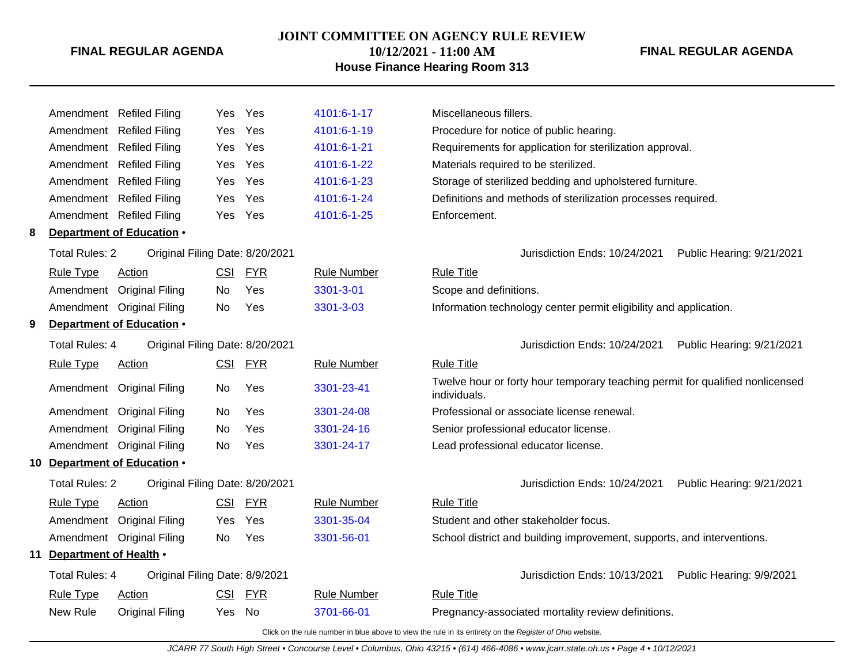## **JOINT COMMITTEE ON AGENCY RULE REVIEW**

**10/12/2021 - 11:00 AM**

## **House Finance Hearing Room 313**

**FINAL REGULAR AGENDA**

|   |                           | Amendment Refiled Filing        | Yes        | Yes        | 4101:6-1-17        | Miscellaneous fillers.                                                                                   |
|---|---------------------------|---------------------------------|------------|------------|--------------------|----------------------------------------------------------------------------------------------------------|
|   |                           | Amendment Refiled Filing        | Yes        | Yes        | 4101:6-1-19        | Procedure for notice of public hearing.                                                                  |
|   |                           | Amendment Refiled Filing        | Yes        | Yes        | 4101:6-1-21        | Requirements for application for sterilization approval.                                                 |
|   |                           | Amendment Refiled Filing        | Yes        | Yes        | 4101:6-1-22        | Materials required to be sterilized.                                                                     |
|   |                           | Amendment Refiled Filing        | Yes        | Yes        | 4101:6-1-23        | Storage of sterilized bedding and upholstered furniture.                                                 |
|   |                           | Amendment Refiled Filing        | Yes        | Yes        | 4101:6-1-24        | Definitions and methods of sterilization processes required.                                             |
|   |                           | Amendment Refiled Filing        | Yes        | Yes        | 4101:6-1-25        | Enforcement.                                                                                             |
| 8 |                           | Department of Education .       |            |            |                    |                                                                                                          |
|   | <b>Total Rules: 2</b>     | Original Filing Date: 8/20/2021 |            |            |                    | Jurisdiction Ends: 10/24/2021<br>Public Hearing: 9/21/2021                                               |
|   | <b>Rule Type</b>          | <b>Action</b>                   | CSI        | <b>FYR</b> | <b>Rule Number</b> | <b>Rule Title</b>                                                                                        |
|   |                           | Amendment Original Filing       | No.        | Yes        | 3301-3-01          | Scope and definitions.                                                                                   |
|   |                           | Amendment Original Filing       | No.        | Yes        | 3301-3-03          | Information technology center permit eligibility and application.                                        |
| 9 |                           | Department of Education .       |            |            |                    |                                                                                                          |
|   | Total Rules: 4            | Original Filing Date: 8/20/2021 |            |            |                    | Jurisdiction Ends: 10/24/2021<br>Public Hearing: 9/21/2021                                               |
|   | <b>Rule Type</b>          | <b>Action</b>                   |            | CSI FYR    | <b>Rule Number</b> | <b>Rule Title</b>                                                                                        |
|   |                           | Amendment Original Filing       | No.        | Yes        | 3301-23-41         | Twelve hour or forty hour temporary teaching permit for qualified nonlicensed<br>individuals.            |
|   |                           | Amendment Original Filing       | No         | Yes        | 3301-24-08         | Professional or associate license renewal.                                                               |
|   |                           | Amendment Original Filing       | <b>No</b>  | Yes        | 3301-24-16         | Senior professional educator license.                                                                    |
|   |                           | Amendment Original Filing       | <b>No</b>  | Yes        | 3301-24-17         | Lead professional educator license.                                                                      |
|   |                           | 10 Department of Education .    |            |            |                    |                                                                                                          |
|   | <b>Total Rules: 2</b>     | Original Filing Date: 8/20/2021 |            |            |                    | Jurisdiction Ends: 10/24/2021<br>Public Hearing: 9/21/2021                                               |
|   | <b>Rule Type</b>          | Action                          | CSI        | <b>FYR</b> | <b>Rule Number</b> | <b>Rule Title</b>                                                                                        |
|   |                           | Amendment Original Filing       | Yes        | Yes        | 3301-35-04         | Student and other stakeholder focus.                                                                     |
|   |                           | Amendment Original Filing       | No.        | Yes        | 3301-56-01         | School district and building improvement, supports, and interventions.                                   |
|   | 11 Department of Health . |                                 |            |            |                    |                                                                                                          |
|   | <b>Total Rules: 4</b>     | Original Filing Date: 8/9/2021  |            |            |                    | Jurisdiction Ends: 10/13/2021<br>Public Hearing: 9/9/2021                                                |
|   | <b>Rule Type</b>          | Action                          | <b>CSI</b> | <u>FYR</u> | <b>Rule Number</b> | <b>Rule Title</b>                                                                                        |
|   | New Rule                  | <b>Original Filing</b>          | Yes        | No         | 3701-66-01         | Pregnancy-associated mortality review definitions.                                                       |
|   |                           |                                 |            |            |                    | Click on the rule number in blue above to view the rule in its entirety on the Register of Ohio website. |

JCARR 77 South High Street • Concourse Level • Columbus, Ohio 43215 • (614) 466-4086 • www.jcarr.state.oh.us • Page 4 • 10/12/2021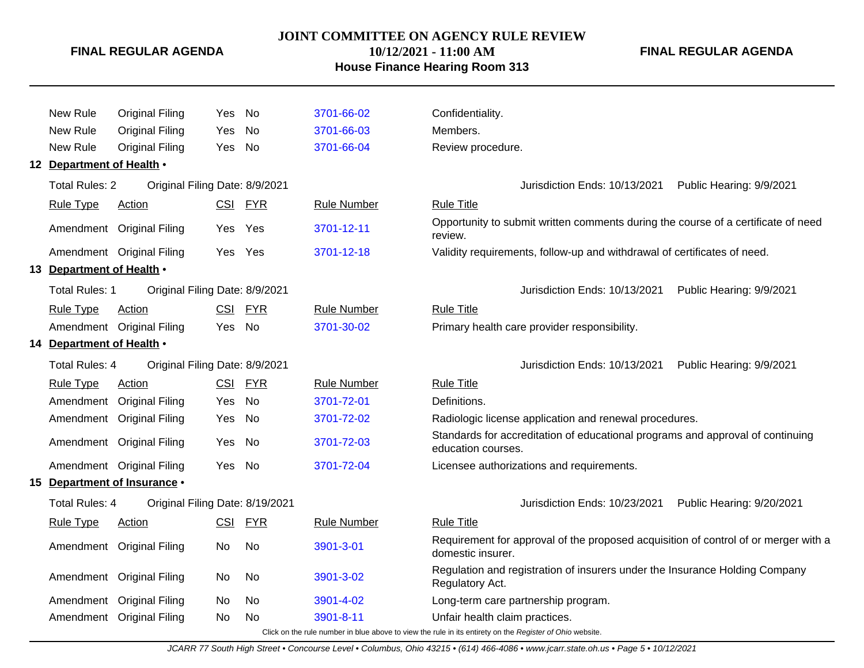## **JOINT COMMITTEE ON AGENCY RULE REVIEW**

**10/12/2021 - 11:00 AM**

## **House Finance Hearing Room 313**

**FINAL REGULAR AGENDA**

| New Rule                  | <b>Original Filing</b>          | <b>Yes</b> | No        | 3701-66-02         | Confidentiality.                                                                                         |
|---------------------------|---------------------------------|------------|-----------|--------------------|----------------------------------------------------------------------------------------------------------|
| New Rule                  | <b>Original Filing</b>          | Yes        | <b>No</b> | 3701-66-03         | Members.                                                                                                 |
| New Rule                  | <b>Original Filing</b>          | Yes        | No        | 3701-66-04         | Review procedure.                                                                                        |
| 12 Department of Health . |                                 |            |           |                    |                                                                                                          |
| <b>Total Rules: 2</b>     | Original Filing Date: 8/9/2021  |            |           |                    | Jurisdiction Ends: 10/13/2021<br>Public Hearing: 9/9/2021                                                |
| <b>Rule Type</b>          | Action                          |            | CSI FYR   | <b>Rule Number</b> | <b>Rule Title</b>                                                                                        |
|                           | Amendment Original Filing       | <b>Yes</b> | Yes       | 3701-12-11         | Opportunity to submit written comments during the course of a certificate of need<br>review.             |
|                           | Amendment Original Filing       | <b>Yes</b> | Yes       | 3701-12-18         | Validity requirements, follow-up and withdrawal of certificates of need.                                 |
| 13 Department of Health . |                                 |            |           |                    |                                                                                                          |
| <b>Total Rules: 1</b>     | Original Filing Date: 8/9/2021  |            |           |                    | Public Hearing: 9/9/2021<br>Jurisdiction Ends: 10/13/2021                                                |
| <b>Rule Type</b>          | Action                          |            | CSI FYR   | <b>Rule Number</b> | <b>Rule Title</b>                                                                                        |
|                           | Amendment Original Filing       | Yes No     |           | 3701-30-02         | Primary health care provider responsibility.                                                             |
| 14 Department of Health . |                                 |            |           |                    |                                                                                                          |
| <b>Total Rules: 4</b>     | Original Filing Date: 8/9/2021  |            |           |                    | Jurisdiction Ends: 10/13/2021<br>Public Hearing: 9/9/2021                                                |
| <b>Rule Type</b>          | Action                          | CSI        | FYR       | <b>Rule Number</b> | <b>Rule Title</b>                                                                                        |
| Amendment                 | <b>Original Filing</b>          | Yes        | <b>No</b> | 3701-72-01         | Definitions.                                                                                             |
|                           | Amendment Original Filing       | Yes        | <b>No</b> | 3701-72-02         | Radiologic license application and renewal procedures.                                                   |
|                           | Amendment Original Filing       | Yes        | No        | 3701-72-03         | Standards for accreditation of educational programs and approval of continuing<br>education courses.     |
|                           | Amendment Original Filing       | Yes No     |           | 3701-72-04         | Licensee authorizations and requirements.                                                                |
|                           | 15 Department of Insurance .    |            |           |                    |                                                                                                          |
| <b>Total Rules: 4</b>     | Original Filing Date: 8/19/2021 |            |           |                    | Jurisdiction Ends: 10/23/2021<br>Public Hearing: 9/20/2021                                               |
| <b>Rule Type</b>          | Action                          |            | CSI FYR   | <b>Rule Number</b> | <b>Rule Title</b>                                                                                        |
|                           | Amendment Original Filing       | No         | No        | 3901-3-01          | Requirement for approval of the proposed acquisition of control of or merger with a<br>domestic insurer. |
|                           | Amendment Original Filing       | No         | No        | 3901-3-02          | Regulation and registration of insurers under the Insurance Holding Company<br>Regulatory Act.           |
|                           | Amendment Original Filing       | No.        | No        | 3901-4-02          | Long-term care partnership program.                                                                      |
|                           | Amendment Original Filing       | No         | No.       | 3901-8-11          | Unfair health claim practices.                                                                           |
|                           |                                 |            |           |                    | Click on the rule number in blue above to view the rule in its entirety on the Register of Ohio website. |

JCARR 77 South High Street • Concourse Level • Columbus, Ohio 43215 • (614) 466-4086 • www.jcarr.state.oh.us • Page 5 • 10/12/2021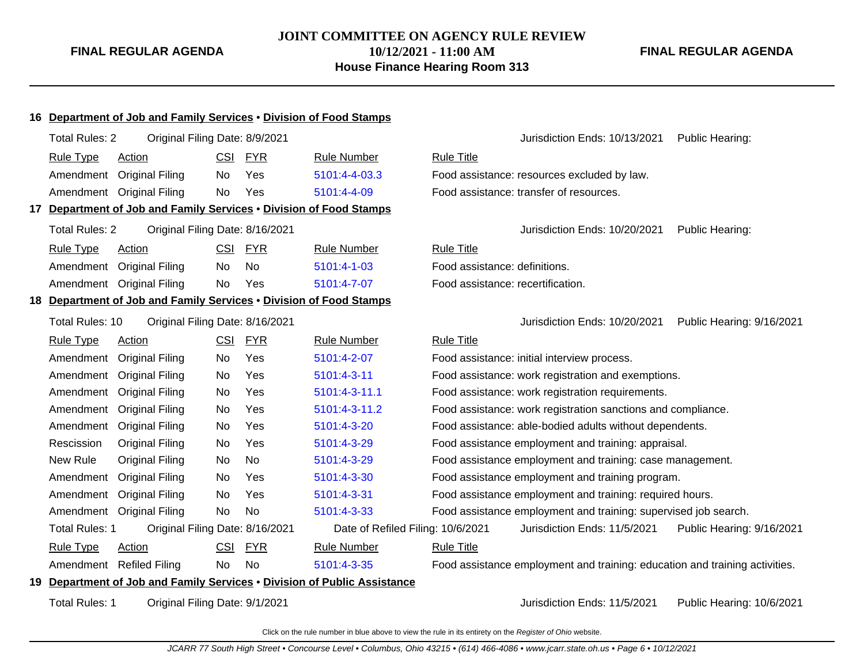## **JOINT COMMITTEE ON AGENCY RULE REVIEW 10/12/2021 - 11:00 AM House Finance Hearing Room 313**

**FINAL REGULAR AGENDA**

# **16 Department of Job and Family Services** • **Division of Food Stamps** Total Rules: 2 Original Filing Date: 8/9/2021 **Contained Accord Public Heart Containers** Jurisdiction Ends: 10/13/2021 Public Hearing: Rule Type Action **CSI FYR** Rule Number Rule Title Amendment Original Filing No Yes [5101:4-4-03.3](http://www.registerofohio.state.oh.us/jsps/publicdisplayrules/processPublicDisplayRules.jsp?entered_rule_no=5101:4-4-03.3&doWhat=GETBYRULENUM&raID=0) Food assistance: resources excluded by law. Amendment Original Filing No Yes [5101:4-4-09](http://www.registerofohio.state.oh.us/jsps/publicdisplayrules/processPublicDisplayRules.jsp?entered_rule_no=5101:4-4-09&doWhat=GETBYRULENUM&raID=0) Food assistance: transfer of resources. **17 Department of Job and Family Services** • **Division of Food Stamps** Total Rules: 2 Original Filing Date: 8/16/2021 **Contained Accord Public Heart Contained Accord Public Hearing:** Total Rules: 10/20/2021 Public Hearing: Rule Type Action **CSI FYR** Rule Number Rule Title Amendment Original Filing No No [5101:4-1-03](http://www.registerofohio.state.oh.us/jsps/publicdisplayrules/processPublicDisplayRules.jsp?entered_rule_no=5101:4-1-03&doWhat=GETBYRULENUM&raID=0) Food assistance: definitions. Amendment Original Filing No Yes [5101:4-7-07](http://www.registerofohio.state.oh.us/jsps/publicdisplayrules/processPublicDisplayRules.jsp?entered_rule_no=5101:4-7-07&doWhat=GETBYRULENUM&raID=0) Food assistance: recertification. **18 Department of Job and Family Services** • **Division of Food Stamps** Total Rules: 10 Original Filing Date: 8/16/2021 Jurisdiction Ends: 10/20/2021 Public Hearing: 9/16/2021 Rule Type Action **CSI FYR** Rule Number Rule Title Amendment Original Filing No Yes [5101:4-2-07](http://www.registerofohio.state.oh.us/jsps/publicdisplayrules/processPublicDisplayRules.jsp?entered_rule_no=5101:4-2-07&doWhat=GETBYRULENUM&raID=0) Food assistance: initial interview process. Amendment Original Filing No Yes [5101:4-3-11](http://www.registerofohio.state.oh.us/jsps/publicdisplayrules/processPublicDisplayRules.jsp?entered_rule_no=5101:4-3-11&doWhat=GETBYRULENUM&raID=0) Food assistance: work registration and exemptions. Amendment Original Filing No Yes [5101:4-3-11.1](http://www.registerofohio.state.oh.us/jsps/publicdisplayrules/processPublicDisplayRules.jsp?entered_rule_no=5101:4-3-11.1&doWhat=GETBYRULENUM&raID=0) Food assistance: work registration requirements. Amendment Original Filing No Yes [5101:4-3-11.2](http://www.registerofohio.state.oh.us/jsps/publicdisplayrules/processPublicDisplayRules.jsp?entered_rule_no=5101:4-3-11.2&doWhat=GETBYRULENUM&raID=0) Food assistance: work registration sanctions and compliance. Amendment Original Filing No Yes [5101:4-3-20](http://www.registerofohio.state.oh.us/jsps/publicdisplayrules/processPublicDisplayRules.jsp?entered_rule_no=5101:4-3-20&doWhat=GETBYRULENUM&raID=0) Food assistance: able-bodied adults without dependents. Rescission Original Filing No Yes [5101:4-3-29](http://www.registerofohio.state.oh.us/jsps/publicdisplayrules/processPublicDisplayRules.jsp?entered_rule_no=5101:4-3-29&doWhat=GETBYRULENUM&raID=0) Food assistance employment and training: appraisal. New Rule Original Filing No No [5101:4-3-29](http://www.registerofohio.state.oh.us/jsps/publicdisplayrules/processPublicDisplayRules.jsp?entered_rule_no=5101:4-3-29&doWhat=GETBYRULENUM&raID=0) Food assistance employment and training: case management. Amendment Original Filing No Yes [5101:4-3-30](http://www.registerofohio.state.oh.us/jsps/publicdisplayrules/processPublicDisplayRules.jsp?entered_rule_no=5101:4-3-30&doWhat=GETBYRULENUM&raID=0) Food assistance employment and training program. Amendment Original Filing No Yes [5101:4-3-31](http://www.registerofohio.state.oh.us/jsps/publicdisplayrules/processPublicDisplayRules.jsp?entered_rule_no=5101:4-3-31&doWhat=GETBYRULENUM&raID=0) Food assistance employment and training: required hours. Amendment Original Filing No No [5101:4-3-33](http://www.registerofohio.state.oh.us/jsps/publicdisplayrules/processPublicDisplayRules.jsp?entered_rule_no=5101:4-3-33&doWhat=GETBYRULENUM&raID=0) Food assistance employment and training: supervised job search. Total Rules: 1 Original Filing Date: 8/16/2021 Date of Refiled Filing: 10/6/2021 Jurisdiction Ends: 11/5/2021 Public Hearing: 9/16/2021 Rule Type Action **CSI FYR** Rule Number Rule Title Amendment Refiled Filing No No [5101:4-3-35](http://www.registerofohio.state.oh.us/jsps/publicdisplayrules/processPublicDisplayRules.jsp?entered_rule_no=5101:4-3-35&doWhat=GETBYRULENUM&raID=0) Food assistance employment and training: education and training activities. **19 Department of Job and Family Services** • **Division of Public Assistance** Total Rules: 1 Original Filing Date: 9/1/2021 <br>
Jurisdiction Ends: 11/5/2021 Public Hearing: 10/6/2021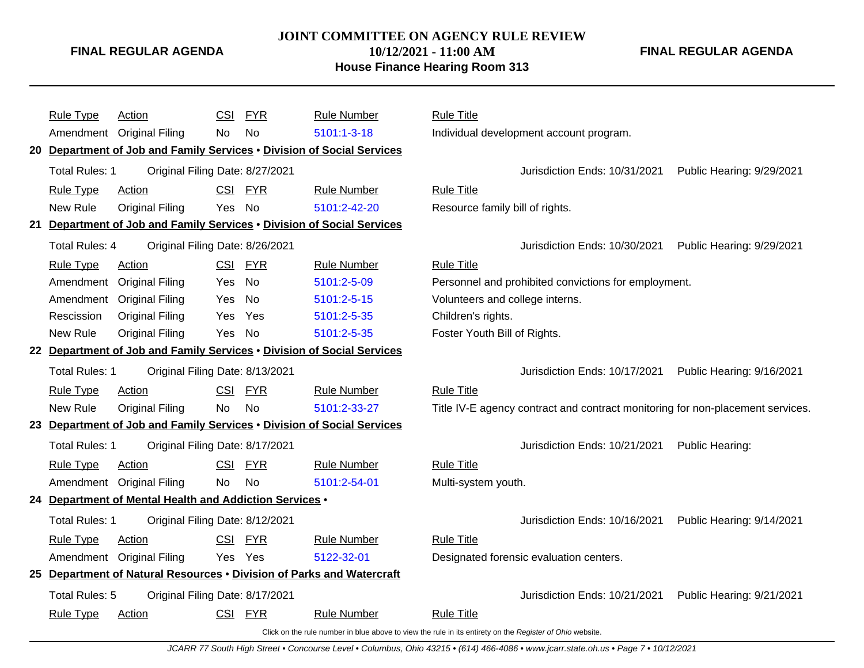## **JOINT COMMITTEE ON AGENCY RULE REVIEW**

**10/12/2021 - 11:00 AM**

## **House Finance Hearing Room 313**

**FINAL REGULAR AGENDA**

|     | <b>Rule Type</b>      | <b>Action</b>                                           | CSI        | <b>FYR</b> | <b>Rule Number</b>                                                     | <b>Rule Title</b>               |                                                                                |                           |
|-----|-----------------------|---------------------------------------------------------|------------|------------|------------------------------------------------------------------------|---------------------------------|--------------------------------------------------------------------------------|---------------------------|
|     |                       | Amendment Original Filing                               | <b>No</b>  | No         | 5101:1-3-18                                                            |                                 | Individual development account program.                                        |                           |
|     |                       |                                                         |            |            | 20 Department of Job and Family Services . Division of Social Services |                                 |                                                                                |                           |
|     | Total Rules: 1        | Original Filing Date: 8/27/2021                         |            |            |                                                                        |                                 | Jurisdiction Ends: 10/31/2021                                                  | Public Hearing: 9/29/2021 |
|     | <b>Rule Type</b>      | Action                                                  |            | CSI FYR    | <b>Rule Number</b>                                                     | <b>Rule Title</b>               |                                                                                |                           |
|     | New Rule              | <b>Original Filing</b>                                  | Yes        | No         | 5101:2-42-20                                                           | Resource family bill of rights. |                                                                                |                           |
| 21  |                       |                                                         |            |            | Department of Job and Family Services . Division of Social Services    |                                 |                                                                                |                           |
|     | Total Rules: 4        | Original Filing Date: 8/26/2021                         |            |            |                                                                        |                                 | Jurisdiction Ends: 10/30/2021                                                  | Public Hearing: 9/29/2021 |
|     | <b>Rule Type</b>      | <b>Action</b>                                           |            | CSI FYR    | <b>Rule Number</b>                                                     | <b>Rule Title</b>               |                                                                                |                           |
|     | Amendment             | <b>Original Filing</b>                                  | Yes        | <b>No</b>  | 5101:2-5-09                                                            |                                 | Personnel and prohibited convictions for employment.                           |                           |
|     | Amendment             | <b>Original Filing</b>                                  | Yes        | No         | 5101:2-5-15                                                            | Volunteers and college interns. |                                                                                |                           |
|     | Rescission            | <b>Original Filing</b>                                  | Yes        | Yes        | 5101:2-5-35                                                            | Children's rights.              |                                                                                |                           |
|     | New Rule              | <b>Original Filing</b>                                  | Yes        | No         | 5101:2-5-35                                                            | Foster Youth Bill of Rights.    |                                                                                |                           |
|     |                       |                                                         |            |            | 22 Department of Job and Family Services . Division of Social Services |                                 |                                                                                |                           |
|     | <b>Total Rules: 1</b> | Original Filing Date: 8/13/2021                         |            |            |                                                                        |                                 | Jurisdiction Ends: 10/17/2021                                                  | Public Hearing: 9/16/2021 |
|     | <b>Rule Type</b>      | Action                                                  | <b>CSI</b> | <b>FYR</b> | <b>Rule Number</b>                                                     | <b>Rule Title</b>               |                                                                                |                           |
|     | New Rule              | <b>Original Filing</b>                                  | <b>No</b>  | <b>No</b>  | 5101:2-33-27                                                           |                                 | Title IV-E agency contract and contract monitoring for non-placement services. |                           |
|     |                       |                                                         |            |            | 23 Department of Job and Family Services . Division of Social Services |                                 |                                                                                |                           |
|     | <b>Total Rules: 1</b> | Original Filing Date: 8/17/2021                         |            |            |                                                                        |                                 | Jurisdiction Ends: 10/21/2021                                                  | Public Hearing:           |
|     | <b>Rule Type</b>      | Action                                                  |            | CSI FYR    | <b>Rule Number</b>                                                     | <b>Rule Title</b>               |                                                                                |                           |
|     |                       | Amendment Original Filing                               | <b>No</b>  | <b>No</b>  | 5101:2-54-01                                                           | Multi-system youth.             |                                                                                |                           |
|     |                       | 24 Department of Mental Health and Addiction Services . |            |            |                                                                        |                                 |                                                                                |                           |
|     | Total Rules: 1        | Original Filing Date: 8/12/2021                         |            |            |                                                                        |                                 | Jurisdiction Ends: 10/16/2021                                                  | Public Hearing: 9/14/2021 |
|     | <b>Rule Type</b>      | Action                                                  | <b>CSI</b> | <b>FYR</b> | <b>Rule Number</b>                                                     | <b>Rule Title</b>               |                                                                                |                           |
|     |                       | Amendment Original Filing                               |            | Yes Yes    | 5122-32-01                                                             |                                 | Designated forensic evaluation centers.                                        |                           |
| 25. |                       |                                                         |            |            | Department of Natural Resources . Division of Parks and Watercraft     |                                 |                                                                                |                           |
|     | Total Rules: 5        | Original Filing Date: 8/17/2021                         |            |            |                                                                        |                                 | Jurisdiction Ends: 10/21/2021                                                  | Public Hearing: 9/21/2021 |
|     | <b>Rule Type</b>      | Action                                                  |            | CSI FYR    | <b>Rule Number</b>                                                     | <b>Rule Title</b>               |                                                                                |                           |
|     |                       |                                                         |            |            |                                                                        |                                 |                                                                                |                           |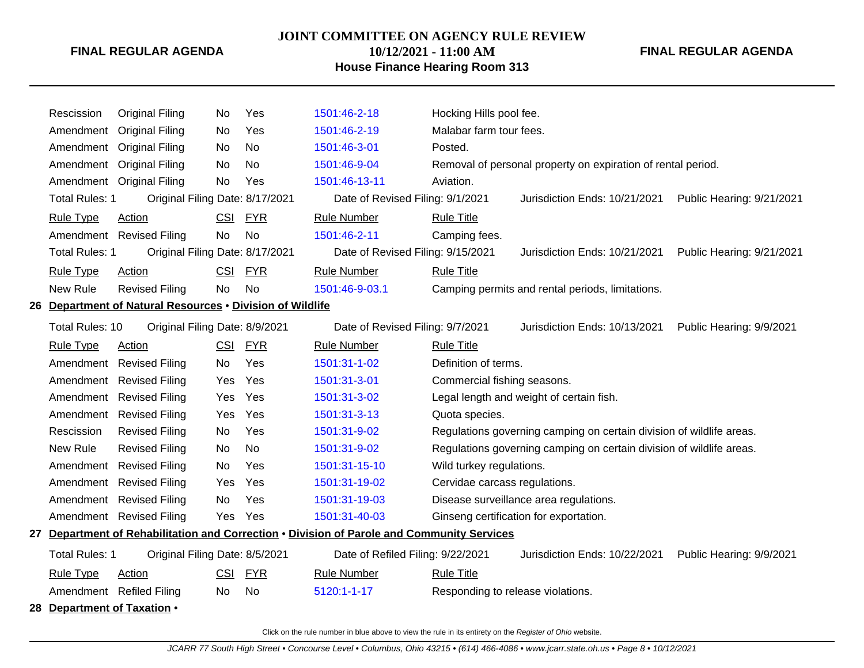#### **JOINT COMMITTEE ON AGENCY RULE REVIEW**

**10/12/2021 - 11:00 AM House Finance Hearing Room 313** **FINAL REGULAR AGENDA**

# Rescission Original Filing No Yes [1501:46-2-18](http://www.registerofohio.state.oh.us/jsps/publicdisplayrules/processPublicDisplayRules.jsp?entered_rule_no=1501:46-2-18&doWhat=GETBYRULENUM&raID=0) Hocking Hills pool fee. Amendment Original Filing No Yes [1501:46-2-19](http://www.registerofohio.state.oh.us/jsps/publicdisplayrules/processPublicDisplayRules.jsp?entered_rule_no=1501:46-2-19&doWhat=GETBYRULENUM&raID=0) Malabar farm tour fees. Amendment Original Filing No No [1501:46-3-01](http://www.registerofohio.state.oh.us/jsps/publicdisplayrules/processPublicDisplayRules.jsp?entered_rule_no=1501:46-3-01&doWhat=GETBYRULENUM&raID=0) Posted. Amendment Original Filing No No [1501:46-9-04](http://www.registerofohio.state.oh.us/jsps/publicdisplayrules/processPublicDisplayRules.jsp?entered_rule_no=1501:46-9-04&doWhat=GETBYRULENUM&raID=0) Removal of personal property on expiration of rental period. Amendment Original Filing No Yes [1501:46-13-11](http://www.registerofohio.state.oh.us/jsps/publicdisplayrules/processPublicDisplayRules.jsp?entered_rule_no=1501:46-13-11&doWhat=GETBYRULENUM&raID=0) Aviation. Total Rules: 1 Original Filing Date: 8/17/2021 Date of Revised Filing: 9/1/2021 Jurisdiction Ends: 10/21/2021 Public Hearing: 9/21/2021 Rule Type Action **CSI FYR** Rule Number Rule Title Amendment Revised Filing No No [1501:46-2-11](http://www.registerofohio.state.oh.us/jsps/publicdisplayrules/processPublicDisplayRules.jsp?entered_rule_no=1501:46-2-11&doWhat=GETBYRULENUM&raID=0) Camping fees. Total Rules: 1 Original Filing Date: 8/17/2021 Date of Revised Filing: 9/15/2021 Jurisdiction Ends: 10/21/2021 Public Hearing: 9/21/2021 Rule Type Action **CSI FYR** Rule Number Rule Title New Rule Revised Filing No No [1501:46-9-03.1](http://www.registerofohio.state.oh.us/jsps/publicdisplayrules/processPublicDisplayRules.jsp?entered_rule_no=1501:46-9-03.1&doWhat=GETBYRULENUM&raID=0) Camping permits and rental periods, limitations. **26 Department of Natural Resources** • **Division of Wildlife** Total Rules: 10 Original Filing Date: 8/9/2021 Date of Revised Filing: 9/7/2021 Jurisdiction Ends: 10/13/2021 Public Hearing: 9/9/2021 Rule Type Action **CSI FYR** Rule Number Rule Title Amendment Revised Filing No Yes [1501:31-1-02](http://www.registerofohio.state.oh.us/jsps/publicdisplayrules/processPublicDisplayRules.jsp?entered_rule_no=1501:31-1-02&doWhat=GETBYRULENUM&raID=0) Definition of terms. Amendment Revised Filing Yes Yes [1501:31-3-01](http://www.registerofohio.state.oh.us/jsps/publicdisplayrules/processPublicDisplayRules.jsp?entered_rule_no=1501:31-3-01&doWhat=GETBYRULENUM&raID=0) Commercial fishing seasons. Amendment Revised Filing Yes Yes [1501:31-3-02](http://www.registerofohio.state.oh.us/jsps/publicdisplayrules/processPublicDisplayRules.jsp?entered_rule_no=1501:31-3-02&doWhat=GETBYRULENUM&raID=0) Legal length and weight of certain fish. Amendment Revised Filing Yes Yes [1501:31-3-13](http://www.registerofohio.state.oh.us/jsps/publicdisplayrules/processPublicDisplayRules.jsp?entered_rule_no=1501:31-3-13&doWhat=GETBYRULENUM&raID=0) Quota species. Rescission Revised Filing No Yes [1501:31-9-02](http://www.registerofohio.state.oh.us/jsps/publicdisplayrules/processPublicDisplayRules.jsp?entered_rule_no=1501:31-9-02&doWhat=GETBYRULENUM&raID=0) Regulations governing camping on certain division of wildlife areas. New Rule Revised Filing No No [1501:31-9-02](http://www.registerofohio.state.oh.us/jsps/publicdisplayrules/processPublicDisplayRules.jsp?entered_rule_no=1501:31-9-02&doWhat=GETBYRULENUM&raID=0) Regulations governing camping on certain division of wildlife areas. Amendment Revised Filing No Yes [1501:31-15-10](http://www.registerofohio.state.oh.us/jsps/publicdisplayrules/processPublicDisplayRules.jsp?entered_rule_no=1501:31-15-10&doWhat=GETBYRULENUM&raID=0) Wild turkey regulations. Amendment Revised Filing Yes Yes [1501:31-19-02](http://www.registerofohio.state.oh.us/jsps/publicdisplayrules/processPublicDisplayRules.jsp?entered_rule_no=1501:31-19-02&doWhat=GETBYRULENUM&raID=0) Cervidae carcass regulations. Amendment Revised Filing No Yes [1501:31-19-03](http://www.registerofohio.state.oh.us/jsps/publicdisplayrules/processPublicDisplayRules.jsp?entered_rule_no=1501:31-19-03&doWhat=GETBYRULENUM&raID=0) Disease surveillance area regulations. Amendment Revised Filing Yes Yes [1501:31-40-03](http://www.registerofohio.state.oh.us/jsps/publicdisplayrules/processPublicDisplayRules.jsp?entered_rule_no=1501:31-40-03&doWhat=GETBYRULENUM&raID=0) Ginseng certification for exportation. **27 Department of Rehabilitation and Correction** • **Division of Parole and Community Services** Total Rules: 1 Original Filing Date: 8/5/2021 Date of Refiled Filing: 9/22/2021 Jurisdiction Ends: 10/22/2021 Public Hearing: 9/9/2021 Rule Type Action CSI FYR Rule Number Rule Title Amendment Refiled Filing No No [5120:1-1-17](http://www.registerofohio.state.oh.us/jsps/publicdisplayrules/processPublicDisplayRules.jsp?entered_rule_no=5120:1-1-17&doWhat=GETBYRULENUM&raID=0) Responding to release violations. **28 Department of Taxation** •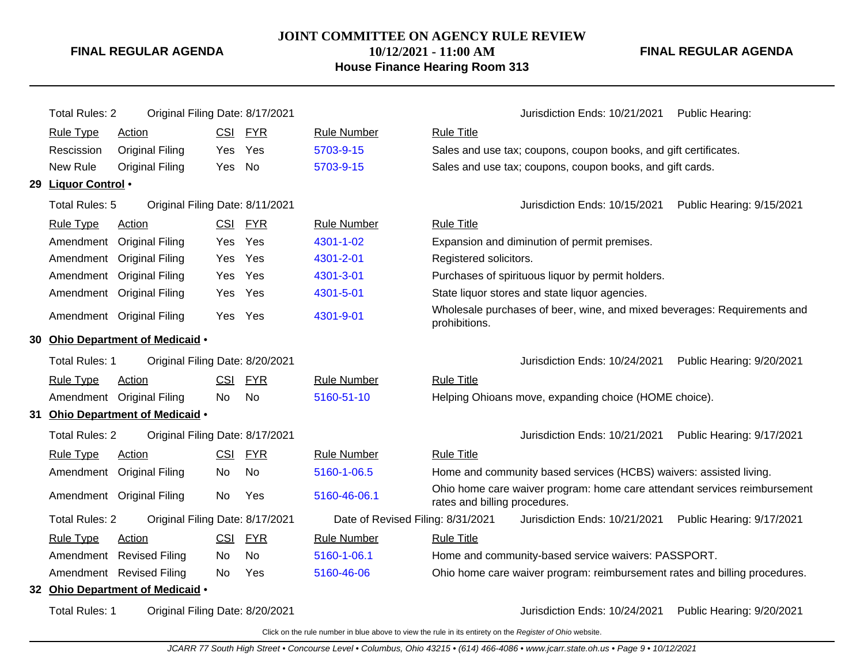## **JOINT COMMITTEE ON AGENCY RULE REVIEW 10/12/2021 - 11:00 AM House Finance Hearing Room 313**

**FINAL REGULAR AGENDA**

|    | <b>Total Rules: 2</b> | Original Filing Date: 8/17/2021  |            |            |                                   |                               | Jurisdiction Ends: 10/21/2021                                              | Public Hearing:           |
|----|-----------------------|----------------------------------|------------|------------|-----------------------------------|-------------------------------|----------------------------------------------------------------------------|---------------------------|
|    | <b>Rule Type</b>      | Action                           | <b>CSI</b> | <b>FYR</b> | <b>Rule Number</b>                | <b>Rule Title</b>             |                                                                            |                           |
|    | Rescission            | <b>Original Filing</b>           | Yes        | Yes        | 5703-9-15                         |                               | Sales and use tax; coupons, coupon books, and gift certificates.           |                           |
|    | New Rule              | <b>Original Filing</b>           | Yes        | No         | 5703-9-15                         |                               | Sales and use tax; coupons, coupon books, and gift cards.                  |                           |
|    | 29 Liquor Control .   |                                  |            |            |                                   |                               |                                                                            |                           |
|    | Total Rules: 5        | Original Filing Date: 8/11/2021  |            |            |                                   |                               | Jurisdiction Ends: 10/15/2021                                              | Public Hearing: 9/15/2021 |
|    | <b>Rule Type</b>      | Action                           | <b>CSI</b> | <b>FYR</b> | <b>Rule Number</b>                | <b>Rule Title</b>             |                                                                            |                           |
|    | Amendment             | <b>Original Filing</b>           | Yes.       | Yes        | 4301-1-02                         |                               | Expansion and diminution of permit premises.                               |                           |
|    | Amendment             | <b>Original Filing</b>           | Yes        | Yes        | 4301-2-01                         | Registered solicitors.        |                                                                            |                           |
|    | Amendment             | <b>Original Filing</b>           | Yes        | Yes        | 4301-3-01                         |                               | Purchases of spirituous liquor by permit holders.                          |                           |
|    | Amendment             | <b>Original Filing</b>           | Yes        | Yes        | 4301-5-01                         |                               | State liquor stores and state liquor agencies.                             |                           |
|    |                       | Amendment Original Filing        |            | Yes Yes    | 4301-9-01                         | prohibitions.                 | Wholesale purchases of beer, wine, and mixed beverages: Requirements and   |                           |
|    |                       | 30 Ohio Department of Medicaid . |            |            |                                   |                               |                                                                            |                           |
|    | Total Rules: 1        | Original Filing Date: 8/20/2021  |            |            |                                   |                               | Jurisdiction Ends: 10/24/2021                                              | Public Hearing: 9/20/2021 |
|    | <b>Rule Type</b>      | Action                           | CSI        | <b>FYR</b> | <b>Rule Number</b>                | <b>Rule Title</b>             |                                                                            |                           |
|    |                       | Amendment Original Filing        | No.        | <b>No</b>  | 5160-51-10                        |                               | Helping Ohioans move, expanding choice (HOME choice).                      |                           |
| 31 |                       | Ohio Department of Medicaid .    |            |            |                                   |                               |                                                                            |                           |
|    | <b>Total Rules: 2</b> | Original Filing Date: 8/17/2021  |            |            |                                   |                               | Jurisdiction Ends: 10/21/2021                                              | Public Hearing: 9/17/2021 |
|    | <b>Rule Type</b>      | Action                           | <b>CSI</b> | <b>FYR</b> | <b>Rule Number</b>                | <b>Rule Title</b>             |                                                                            |                           |
|    |                       | Amendment Original Filing        | No.        | No.        | 5160-1-06.5                       |                               | Home and community based services (HCBS) waivers: assisted living.         |                           |
|    |                       | Amendment Original Filing        | No         | Yes        | 5160-46-06.1                      | rates and billing procedures. | Ohio home care waiver program: home care attendant services reimbursement  |                           |
|    | <b>Total Rules: 2</b> | Original Filing Date: 8/17/2021  |            |            | Date of Revised Filing: 8/31/2021 |                               | Jurisdiction Ends: 10/21/2021                                              | Public Hearing: 9/17/2021 |
|    | <b>Rule Type</b>      | Action                           | <u>CSI</u> | <b>FYR</b> | <b>Rule Number</b>                | <b>Rule Title</b>             |                                                                            |                           |
|    | Amendment             | <b>Revised Filing</b>            | No.        | No         | 5160-1-06.1                       |                               | Home and community-based service waivers: PASSPORT.                        |                           |
|    | Amendment             | <b>Revised Filing</b>            | No         | Yes        | 5160-46-06                        |                               | Ohio home care waiver program: reimbursement rates and billing procedures. |                           |
|    |                       | 32 Ohio Department of Medicaid . |            |            |                                   |                               |                                                                            |                           |
|    | <b>Total Rules: 1</b> | Original Filing Date: 8/20/2021  |            |            |                                   |                               | Jurisdiction Ends: 10/24/2021                                              | Public Hearing: 9/20/2021 |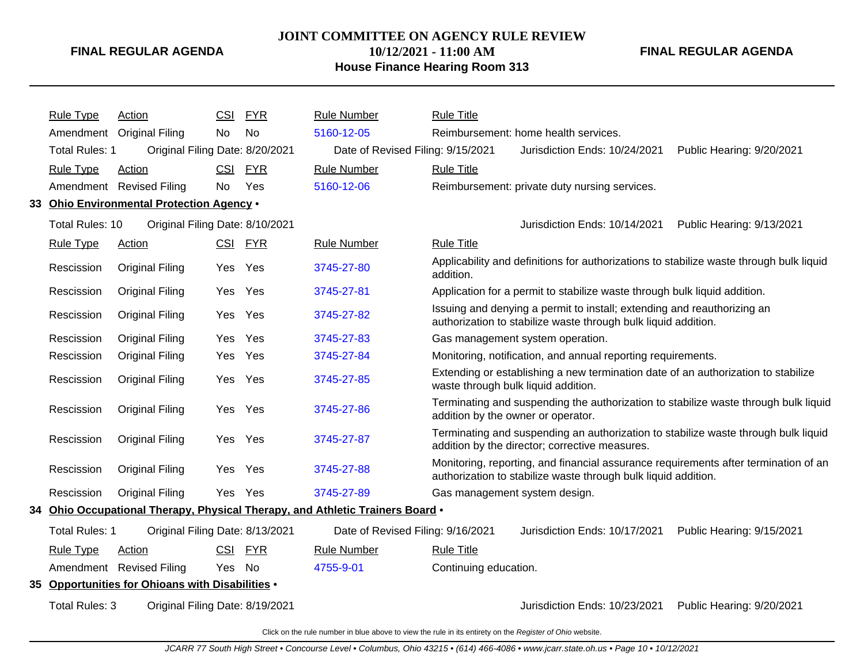#### **JOINT COMMITTEE ON AGENCY RULE REVIEW**

**10/12/2021 - 11:00 AM**

## **House Finance Hearing Room 313**

**FINAL REGULAR AGENDA**

| <b>Rule Type</b>      | Action                                            | CSI        | <b>FYR</b> | <b>Rule Number</b>                                                            | <b>Rule Title</b>                                                                                                                                     |  |  |
|-----------------------|---------------------------------------------------|------------|------------|-------------------------------------------------------------------------------|-------------------------------------------------------------------------------------------------------------------------------------------------------|--|--|
|                       | Amendment Original Filing                         | No         | No         | 5160-12-05                                                                    | Reimbursement: home health services.                                                                                                                  |  |  |
|                       | Total Rules: 1<br>Original Filing Date: 8/20/2021 |            |            | Date of Revised Filing: 9/15/2021                                             | Jurisdiction Ends: 10/24/2021<br>Public Hearing: 9/20/2021                                                                                            |  |  |
| <b>Rule Type</b>      | <b>Action</b>                                     | CSI.       | <b>FYR</b> | <b>Rule Number</b>                                                            | <b>Rule Title</b>                                                                                                                                     |  |  |
|                       | Amendment Revised Filing                          | <b>No</b>  | Yes        | 5160-12-06                                                                    | Reimbursement: private duty nursing services.                                                                                                         |  |  |
|                       | 33 Ohio Environmental Protection Agency .         |            |            |                                                                               |                                                                                                                                                       |  |  |
| Total Rules: 10       | Original Filing Date: 8/10/2021                   |            |            |                                                                               | Jurisdiction Ends: 10/14/2021<br>Public Hearing: 9/13/2021                                                                                            |  |  |
| <b>Rule Type</b>      | Action                                            |            | CSI FYR    | <b>Rule Number</b>                                                            | <b>Rule Title</b>                                                                                                                                     |  |  |
| Rescission            | <b>Original Filing</b>                            | Yes Yes    |            | 3745-27-80                                                                    | Applicability and definitions for authorizations to stabilize waste through bulk liquid<br>addition.                                                  |  |  |
| Rescission            | <b>Original Filing</b>                            | Yes Yes    |            | 3745-27-81                                                                    | Application for a permit to stabilize waste through bulk liquid addition.                                                                             |  |  |
| Rescission            | <b>Original Filing</b>                            | Yes        | Yes        | 3745-27-82                                                                    | Issuing and denying a permit to install; extending and reauthorizing an<br>authorization to stabilize waste through bulk liquid addition.             |  |  |
| Rescission            | <b>Original Filing</b>                            | Yes        | Yes        | 3745-27-83                                                                    | Gas management system operation.                                                                                                                      |  |  |
| Rescission            | Original Filing                                   | Yes        | Yes        | 3745-27-84                                                                    | Monitoring, notification, and annual reporting requirements.                                                                                          |  |  |
| Rescission            | <b>Original Filing</b>                            | Yes        | Yes        | 3745-27-85                                                                    | Extending or establishing a new termination date of an authorization to stabilize<br>waste through bulk liquid addition.                              |  |  |
| Rescission            | <b>Original Filing</b>                            | Yes        | Yes        | 3745-27-86                                                                    | Terminating and suspending the authorization to stabilize waste through bulk liquid<br>addition by the owner or operator.                             |  |  |
| Rescission            | <b>Original Filing</b>                            | Yes        | Yes        | 3745-27-87                                                                    | Terminating and suspending an authorization to stabilize waste through bulk liquid<br>addition by the director; corrective measures.                  |  |  |
| Rescission            | <b>Original Filing</b>                            | Yes        | Yes        | 3745-27-88                                                                    | Monitoring, reporting, and financial assurance requirements after termination of an<br>authorization to stabilize waste through bulk liquid addition. |  |  |
| Rescission            | <b>Original Filing</b>                            | Yes        | Yes        | 3745-27-89                                                                    | Gas management system design.                                                                                                                         |  |  |
|                       |                                                   |            |            | 34 Ohio Occupational Therapy, Physical Therapy, and Athletic Trainers Board • |                                                                                                                                                       |  |  |
| <b>Total Rules: 1</b> | Original Filing Date: 8/13/2021                   |            |            | Date of Revised Filing: 9/16/2021                                             | Jurisdiction Ends: 10/17/2021<br>Public Hearing: 9/15/2021                                                                                            |  |  |
| <b>Rule Type</b>      | Action                                            | <b>CSI</b> | FYR        | <b>Rule Number</b>                                                            | <b>Rule Title</b>                                                                                                                                     |  |  |

Amendment Revised Filing Yes No [4755-9-01](http://www.registerofohio.state.oh.us/jsps/publicdisplayrules/processPublicDisplayRules.jsp?entered_rule_no=4755-9-01&doWhat=GETBYRULENUM&raID=0) Continuing education.

**35 Opportunities for Ohioans with Disabilities** •

Total Rules: 3 Original Filing Date: 8/19/2021 <br>
3/19/2021 Jurisdiction Ends: 10/23/2021 Public Hearing: 9/20/2021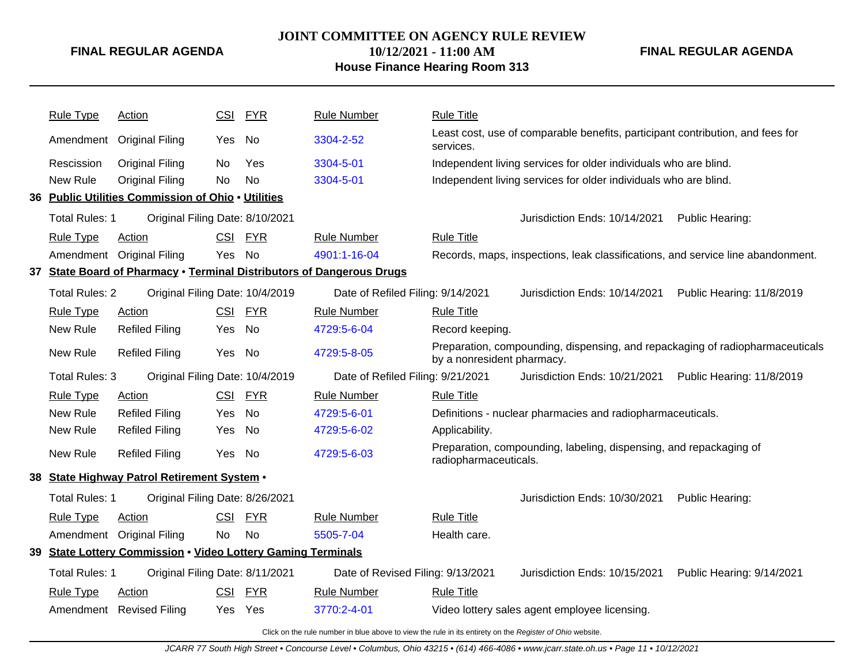## **JOINT COMMITTEE ON AGENCY RULE REVIEW**

**10/12/2021 - 11:00 AM House Finance Hearing Room 313** **FINAL REGULAR AGENDA**

|     | <b>Rule Type</b>      | Action                                                           | <b>CSI</b> | <b>FYR</b> | <b>Rule Number</b>                                                    | <b>Rule Title</b>          |                                                                                 |                           |
|-----|-----------------------|------------------------------------------------------------------|------------|------------|-----------------------------------------------------------------------|----------------------------|---------------------------------------------------------------------------------|---------------------------|
|     | Amendment             | <b>Original Filing</b>                                           | Yes No     |            | 3304-2-52                                                             | services.                  | Least cost, use of comparable benefits, participant contribution, and fees for  |                           |
|     | Rescission            | <b>Original Filing</b>                                           | No         | Yes        | 3304-5-01                                                             |                            | Independent living services for older individuals who are blind.                |                           |
|     | New Rule              | <b>Original Filing</b>                                           | No         | <b>No</b>  | 3304-5-01                                                             |                            | Independent living services for older individuals who are blind.                |                           |
|     |                       | 36 Public Utilities Commission of Ohio . Utilities               |            |            |                                                                       |                            |                                                                                 |                           |
|     | <b>Total Rules: 1</b> | Original Filing Date: 8/10/2021                                  |            |            |                                                                       |                            | Jurisdiction Ends: 10/14/2021                                                   | Public Hearing:           |
|     | <b>Rule Type</b>      | Action                                                           | <b>CSI</b> | <b>FYR</b> | <b>Rule Number</b>                                                    | <b>Rule Title</b>          |                                                                                 |                           |
|     | Amendment             | <b>Original Filing</b>                                           | Yes        | <b>No</b>  | 4901:1-16-04                                                          |                            | Records, maps, inspections, leak classifications, and service line abandonment. |                           |
|     |                       |                                                                  |            |            | 37 State Board of Pharmacy . Terminal Distributors of Dangerous Drugs |                            |                                                                                 |                           |
|     | <b>Total Rules: 2</b> | Original Filing Date: 10/4/2019                                  |            |            | Date of Refiled Filing: 9/14/2021                                     |                            | Jurisdiction Ends: 10/14/2021                                                   | Public Hearing: 11/8/2019 |
|     | Rule Type             | <b>Action</b>                                                    | CSI        | <b>FYR</b> | <b>Rule Number</b>                                                    | <b>Rule Title</b>          |                                                                                 |                           |
|     | New Rule              | <b>Refiled Filing</b>                                            | Yes        | No         | 4729:5-6-04                                                           | Record keeping.            |                                                                                 |                           |
|     | New Rule              | <b>Refiled Filing</b>                                            | Yes        | No         | 4729:5-8-05                                                           | by a nonresident pharmacy. | Preparation, compounding, dispensing, and repackaging of radiopharmaceuticals   |                           |
|     | <b>Total Rules: 3</b> | Original Filing Date: 10/4/2019                                  |            |            | Date of Refiled Filing: 9/21/2021                                     |                            | Jurisdiction Ends: 10/21/2021                                                   | Public Hearing: 11/8/2019 |
|     | Rule Type             | <b>Action</b>                                                    |            | CSI FYR    | <b>Rule Number</b>                                                    | <b>Rule Title</b>          |                                                                                 |                           |
|     | New Rule              | <b>Refiled Filing</b>                                            | Yes        | <b>No</b>  | 4729:5-6-01                                                           |                            | Definitions - nuclear pharmacies and radiopharmaceuticals.                      |                           |
|     | New Rule              | <b>Refiled Filing</b>                                            | Yes        | No         | 4729:5-6-02                                                           | Applicability.             |                                                                                 |                           |
|     | New Rule              | <b>Refiled Filing</b>                                            | Yes No     |            | 4729:5-6-03                                                           | radiopharmaceuticals.      | Preparation, compounding, labeling, dispensing, and repackaging of              |                           |
|     |                       | 38 State Highway Patrol Retirement System .                      |            |            |                                                                       |                            |                                                                                 |                           |
|     | Total Rules: 1        | Original Filing Date: 8/26/2021                                  |            |            |                                                                       |                            | Jurisdiction Ends: 10/30/2021                                                   | Public Hearing:           |
|     | <b>Rule Type</b>      | Action                                                           | CSI        | <b>FYR</b> | <b>Rule Number</b>                                                    | <b>Rule Title</b>          |                                                                                 |                           |
|     | Amendment             | <b>Original Filing</b>                                           | <b>No</b>  | No         | 5505-7-04                                                             | Health care.               |                                                                                 |                           |
| 39. |                       | <b>State Lottery Commission . Video Lottery Gaming Terminals</b> |            |            |                                                                       |                            |                                                                                 |                           |
|     | <b>Total Rules: 1</b> | Original Filing Date: 8/11/2021                                  |            |            | Date of Revised Filing: 9/13/2021                                     |                            | Jurisdiction Ends: 10/15/2021                                                   | Public Hearing: 9/14/2021 |
|     | <b>Rule Type</b>      | Action                                                           | CSI        | <b>FYR</b> | <b>Rule Number</b>                                                    | <b>Rule Title</b>          |                                                                                 |                           |
|     |                       | Amendment Revised Filing                                         | Yes        | Yes        | 3770:2-4-01                                                           |                            | Video lottery sales agent employee licensing.                                   |                           |
|     |                       |                                                                  |            |            |                                                                       |                            |                                                                                 |                           |